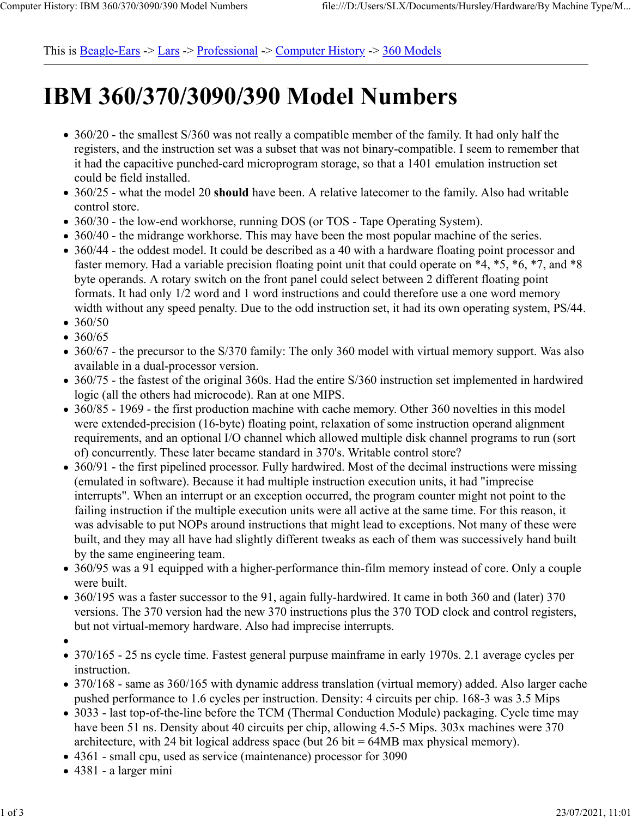This is  $Beagle$ -Ears  $\geq$  Lars  $\geq$  Professional  $\geq$  Computer History  $\geq$  360 Models

## **IBM 360/370/3090/390 Model Numbers**

- 360/20 the smallest S/360 was not really a compatible member of the family. It had only half the registers, and the instruction set was a subset that was not binary-compatible. I seem to remember that it had the capacitive punched-card microprogram storage, so that a 1401 emulation instruction set could be field installed.
- 360/25 what the model 20 **should** have been. A relative latecomer to the family. Also had writable control store.
- 360/30 the low-end workhorse, running DOS (or TOS Tape Operating System).
- 360/40 the midrange workhorse. This may have been the most popular machine of the series.
- 360/44 the oddest model. It could be described as a 40 with a hardware floating point processor and faster memory. Had a variable precision floating point unit that could operate on \*4, \*5, \*6, \*7, and \*8 byte operands. A rotary switch on the front panel could select between 2 different floating point formats. It had only 1/2 word and 1 word instructions and could therefore use a one word memory width without any speed penalty. Due to the odd instruction set, it had its own operating system, PS/44.
- $360/50$
- $360/65$
- 360/67 the precursor to the S/370 family: The only 360 model with virtual memory support. Was also available in a dual-processor version.
- 360/75 the fastest of the original 360s. Had the entire S/360 instruction set implemented in hardwired logic (all the others had microcode). Ran at one MIPS.
- 360/85 1969 the first production machine with cache memory. Other 360 novelties in this model were extended-precision (16-byte) floating point, relaxation of some instruction operand alignment requirements, and an optional I/O channel which allowed multiple disk channel programs to run (sort of) concurrently. These later became standard in 370's. Writable control store?
- 360/91 the first pipelined processor. Fully hardwired. Most of the decimal instructions were missing (emulated in software). Because it had multiple instruction execution units, it had "imprecise interrupts". When an interrupt or an exception occurred, the program counter might not point to the failing instruction if the multiple execution units were all active at the same time. For this reason, it was advisable to put NOPs around instructions that might lead to exceptions. Not many of these were built, and they may all have had slightly different tweaks as each of them was successively hand built by the same engineering team.
- 360/95 was a 91 equipped with a higher-performance thin-film memory instead of core. Only a couple were built.
- 360/195 was a faster successor to the 91, again fully-hardwired. It came in both 360 and (later) 370 versions. The 370 version had the new 370 instructions plus the 370 TOD clock and control registers, but not virtual-memory hardware. Also had imprecise interrupts.
- 
- 370/165 25 ns cycle time. Fastest general purpuse mainframe in early 1970s. 2.1 average cycles per instruction.
- 370/168 same as 360/165 with dynamic address translation (virtual memory) added. Also larger cache pushed performance to 1.6 cycles per instruction. Density: 4 circuits per chip. 168-3 was 3.5 Mips
- 3033 last top-of-the-line before the TCM (Thermal Conduction Module) packaging. Cycle time may have been 51 ns. Density about 40 circuits per chip, allowing 4.5-5 Mips. 303x machines were 370 architecture, with 24 bit logical address space (but  $26$  bit = 64MB max physical memory).
- 4361 small cpu, used as service (maintenance) processor for 3090
- 4381 a larger mini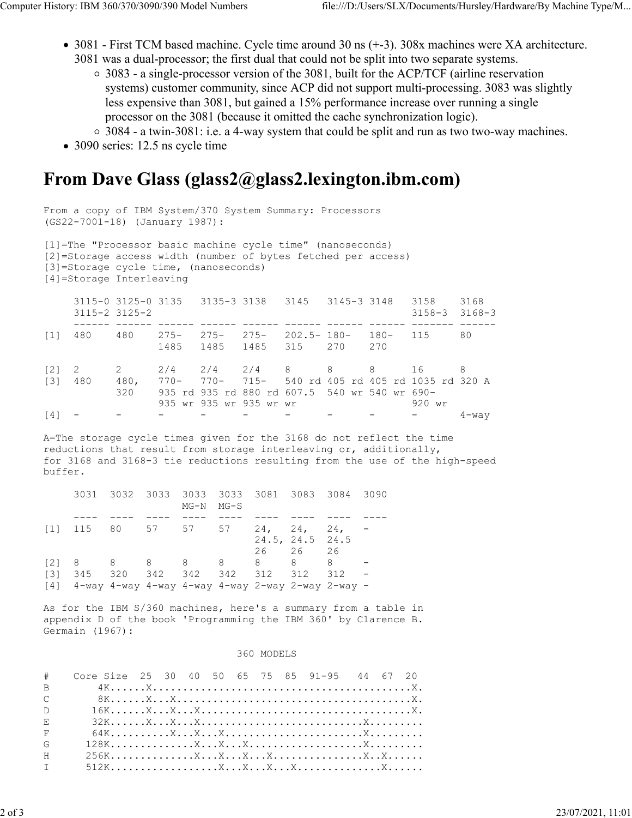- 3081 First TCM based machine. Cycle time around 30 ns (+-3). 308x machines were XA architecture. 3081 was a dual-processor; the first dual that could not be split into two separate systems.
	- 3083 a single-processor version of the 3081, built for the ACP/TCF (airline reservation systems) customer community, since ACP did not support multi-processing. 3083 was slightly less expensive than 3081, but gained a 15% performance increase over running a single processor on the 3081 (because it omitted the cache synchronization logic).
	- 3084 a twin-3081: i.e. a 4-way system that could be split and run as two two-way machines.
- 3090 series: 12.5 ns cycle time

## **From Dave Glass (glass2@glass2.lexington.ibm.com)**

From a copy of IBM System/370 System Summary: Processors (GS22-7001-18) (January 1987): [1]=The "Processor basic machine cycle time" (nanoseconds) [2]=Storage access width (number of bytes fetched per access) [3]=Storage cycle time, (nanoseconds) [4]=Storage Interleaving 3115-0 3125-0 3135 3135-3 3138 3145 3145-3 3148 3158 3168 3115-2 3125-2 3158-3 3168-3 ------ ------ ------ ------ ------ ------ ------ ------ ------- ------ [1] 480 480 275- 275- 275- 202.5- 180- 180- 115 80 1485 1485 1485 315 270 270 [2] 2 2 2/4 2/4 2/4 8 8 8 16 8 [3] 480 480, 770- 770- 715- 540 rd 405 rd 405 rd 1035 rd 320 A 320 935 rd 935 rd 880 rd 607.5 540 wr 540 wr 690- 935 wr 935 wr 935 wr wr 920 wr [4] - - - - - - - - - - - - - 4-way

A=The storage cycle times given for the 3168 do not reflect the time reductions that result from storage interleaving or, additionally, for 3168 and 3168-3 tie reductions resulting from the use of the high-speed buffer.

|                                                                              | 3031 3032 3033 3033 3033 3081 3083 3084 3090 | $MG-N$ $MG-S$ |  |                             |  |
|------------------------------------------------------------------------------|----------------------------------------------|---------------|--|-----------------------------|--|
|                                                                              |                                              |               |  |                             |  |
| $\begin{bmatrix} 11 & 115 & 80 & 57 & 57 & 57 & 24, 24, 24, \end{bmatrix}$   |                                              |               |  | 24.5, 24.5 24.5<br>26 26 26 |  |
| $[2] \quad 8 \qquad 8 \qquad 8 \qquad 8 \qquad 8 \qquad 8 \qquad 8 \qquad 8$ |                                              |               |  |                             |  |
| [3] 345 320 342 342 342 312 312 312                                          |                                              |               |  |                             |  |
| 14] 4-way 4-way 4-way 4-way 4-way 2-way 2-way 2-way -                        |                                              |               |  |                             |  |

As for the IBM S/360 machines, here's a summary from a table in appendix D of the book 'Programming the IBM 360' by Clarence B. Germain (1967):

## 360 MODELS

| #             | Core Size 25 30 40 50 65 75 85 91-95 44 67 20 |  |  |  |  |  |  |
|---------------|-----------------------------------------------|--|--|--|--|--|--|
| <sub>B</sub>  |                                               |  |  |  |  |  |  |
| $\mathcal{C}$ |                                               |  |  |  |  |  |  |
| $\Gamma$      |                                               |  |  |  |  |  |  |
| $E_{\rm c}$   |                                               |  |  |  |  |  |  |
| F             |                                               |  |  |  |  |  |  |
| G             |                                               |  |  |  |  |  |  |
| H             |                                               |  |  |  |  |  |  |
| T             |                                               |  |  |  |  |  |  |